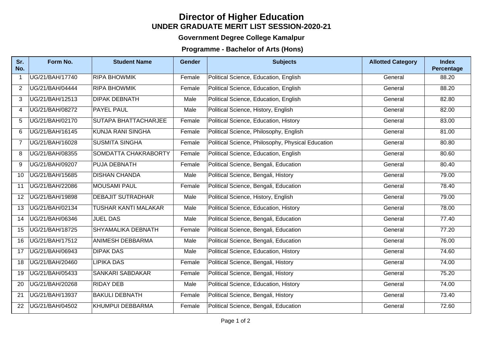## **UNDER GRADUATE MERIT LIST SESSION-2020-21 Director of Higher Education**

## **Government Degree College Kamalpur**

## **Programme - Bachelor of Arts (Hons)**

| Sr.<br>No.     | Form No.        | <b>Student Name</b>         | <b>Gender</b> | <b>Subjects</b>                                   | <b>Allotted Category</b> | <b>Index</b><br>Percentage |
|----------------|-----------------|-----------------------------|---------------|---------------------------------------------------|--------------------------|----------------------------|
| $\mathbf{1}$   | UG/21/BAH/17740 | <b>RIPA BHOWMIK</b>         | Female        | Political Science, Education, English             | General                  | 88.20                      |
| $\overline{2}$ | UG/21/BAH/04444 | <b>RIPA BHOWMIK</b>         | Female        | Political Science, Education, English             | General                  | 88.20                      |
| 3              | UG/21/BAH/12513 | <b>DIPAK DEBNATH</b>        | Male          | Political Science, Education, English             | General                  | 82.80                      |
| 4              | UG/21/BAH/08272 | <b>PAYEL PAUL</b>           | Male          | Political Science, History, English               | General                  | 82.00                      |
| 5              | UG/21/BAH/02170 | <b>SUTAPA BHATTACHARJEE</b> | Female        | Political Science, Education, History             | General                  | 83.00                      |
| 6              | UG/21/BAH/16145 | <b>KUNJA RANI SINGHA</b>    | Female        | Political Science, Philosophy, English            | General                  | 81.00                      |
| $\overline{7}$ | UG/21/BAH/16028 | <b>SUSMITA SINGHA</b>       | Female        | Political Science, Philosophy, Physical Education | General                  | 80.80                      |
| 8              | UG/21/BAH/08355 | SOMDATTA CHAKRABORTY        | Female        | Political Science, Education, English             | General                  | 80.60                      |
| 9              | UG/21/BAH/09207 | PUJA DEBNATH                | Female        | Political Science, Bengali, Education             | General                  | 80.40                      |
| 10             | UG/21/BAH/15685 | <b>DISHAN CHANDA</b>        | Male          | Political Science, Bengali, History               | General                  | $\overline{79.00}$         |
| 11             | UG/21/BAH/22086 | <b>MOUSAMI PAUL</b>         | Female        | Political Science, Bengali, Education             | General                  | 78.40                      |
| 12             | UG/21/BAH/19898 | <b>DEBAJIT SUTRADHAR</b>    | Male          | Political Science, History, English               | General                  | 79.00                      |
| 13             | UG/21/BAH/02134 | <b>TUSHAR KANTI MALAKAR</b> | Male          | Political Science, Education, History             | General                  | 78.00                      |
| 14             | UG/21/BAH/06346 | <b>JUEL DAS</b>             | Male          | Political Science, Bengali, Education             | General                  | 77.40                      |
| 15             | UG/21/BAH/18725 | SHYAMALIKA DEBNATH          | Female        | Political Science, Bengali, Education             | General                  | 77.20                      |
| 16             | UG/21/BAH/17512 | ANIMESH DEBBARMA            | Male          | Political Science, Bengali, Education             | General                  | 76.00                      |
| 17             | UG/21/BAH/06943 | <b>DIPAK DAS</b>            | Male          | Political Science, Education, History             | General                  | 74.60                      |
| 18             | UG/21/BAH/20460 | <b>LIPIKA DAS</b>           | Female        | Political Science, Bengali, History               | General                  | 74.00                      |
| 19             | UG/21/BAH/05433 | <b>SANKARI SABDAKAR</b>     | Female        | Political Science, Bengali, History               | General                  | 75.20                      |
| 20             | UG/21/BAH/20268 | <b>RIDAY DEB</b>            | Male          | Political Science, Education, History             | General                  | 74.00                      |
| 21             | UG/21/BAH/13937 | <b>BAKULI DEBNATH</b>       | Female        | Political Science, Bengali, History               | General                  | 73.40                      |
| 22             | UG/21/BAH/04502 | KHUMPUI DEBBARMA            | Female        | Political Science, Bengali, Education             | General                  | 72.60                      |